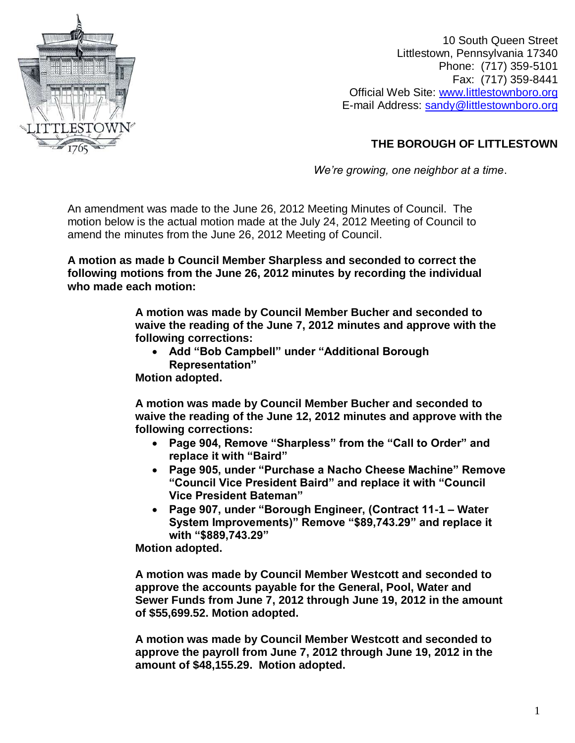

10 South Queen Street Littlestown, Pennsylvania 17340 Phone: (717) 359-5101 Fax: (717) 359-8441 Official Web Site: [www.littlestownboro.org](http://www.littlestownboro.org/) E-mail Address: [sandy@littlestownboro.org](mailto:sandy@littlestownboro.org)

## **THE BOROUGH OF LITTLESTOWN**

*We're growing, one neighbor at a time*.

An amendment was made to the June 26, 2012 Meeting Minutes of Council. The motion below is the actual motion made at the July 24, 2012 Meeting of Council to amend the minutes from the June 26, 2012 Meeting of Council.

**A motion as made b Council Member Sharpless and seconded to correct the following motions from the June 26, 2012 minutes by recording the individual who made each motion:** 

> **A motion was made by Council Member Bucher and seconded to waive the reading of the June 7, 2012 minutes and approve with the following corrections:**

- **Add "Bob Campbell" under "Additional Borough Representation"**
- **Motion adopted.**

**A motion was made by Council Member Bucher and seconded to waive the reading of the June 12, 2012 minutes and approve with the following corrections:**

- **Page 904, Remove "Sharpless" from the "Call to Order" and replace it with "Baird"**
- **Page 905, under "Purchase a Nacho Cheese Machine" Remove "Council Vice President Baird" and replace it with "Council Vice President Bateman"**
- **Page 907, under "Borough Engineer, (Contract 11-1 – Water System Improvements)" Remove "\$89,743.29" and replace it with "\$889,743.29"**

**Motion adopted.**

**A motion was made by Council Member Westcott and seconded to approve the accounts payable for the General, Pool, Water and Sewer Funds from June 7, 2012 through June 19, 2012 in the amount of \$55,699.52. Motion adopted.**

**A motion was made by Council Member Westcott and seconded to approve the payroll from June 7, 2012 through June 19, 2012 in the amount of \$48,155.29. Motion adopted.**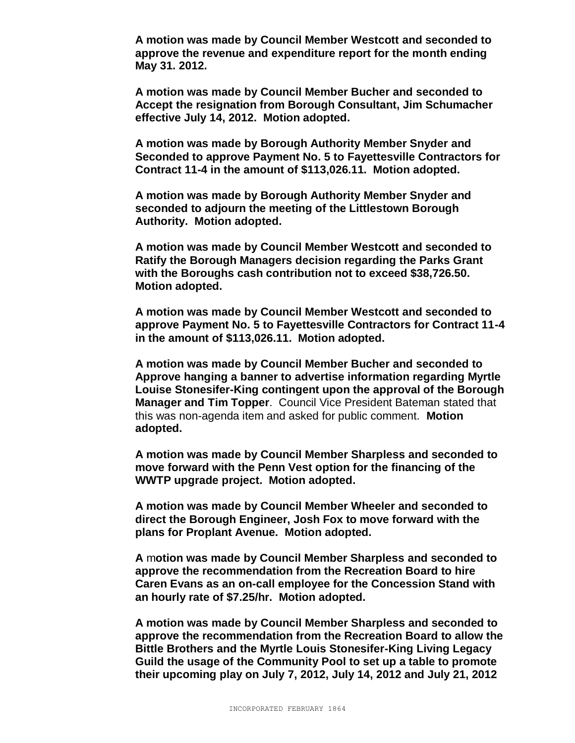**A motion was made by Council Member Westcott and seconded to approve the revenue and expenditure report for the month ending May 31. 2012.**

**A motion was made by Council Member Bucher and seconded to Accept the resignation from Borough Consultant, Jim Schumacher effective July 14, 2012. Motion adopted.**

**A motion was made by Borough Authority Member Snyder and Seconded to approve Payment No. 5 to Fayettesville Contractors for Contract 11-4 in the amount of \$113,026.11. Motion adopted.**

**A motion was made by Borough Authority Member Snyder and seconded to adjourn the meeting of the Littlestown Borough Authority. Motion adopted.**

**A motion was made by Council Member Westcott and seconded to Ratify the Borough Managers decision regarding the Parks Grant with the Boroughs cash contribution not to exceed \$38,726.50. Motion adopted.**

**A motion was made by Council Member Westcott and seconded to approve Payment No. 5 to Fayettesville Contractors for Contract 11-4 in the amount of \$113,026.11. Motion adopted.**

**A motion was made by Council Member Bucher and seconded to Approve hanging a banner to advertise information regarding Myrtle Louise Stonesifer-King contingent upon the approval of the Borough Manager and Tim Topper**. Council Vice President Bateman stated that this was non-agenda item and asked for public comment. **Motion adopted.**

**A motion was made by Council Member Sharpless and seconded to move forward with the Penn Vest option for the financing of the WWTP upgrade project. Motion adopted.**

**A motion was made by Council Member Wheeler and seconded to direct the Borough Engineer, Josh Fox to move forward with the plans for Proplant Avenue. Motion adopted.**

**A** m**otion was made by Council Member Sharpless and seconded to approve the recommendation from the Recreation Board to hire Caren Evans as an on-call employee for the Concession Stand with an hourly rate of \$7.25/hr. Motion adopted.**

**A motion was made by Council Member Sharpless and seconded to approve the recommendation from the Recreation Board to allow the Bittle Brothers and the Myrtle Louis Stonesifer-King Living Legacy Guild the usage of the Community Pool to set up a table to promote their upcoming play on July 7, 2012, July 14, 2012 and July 21, 2012**